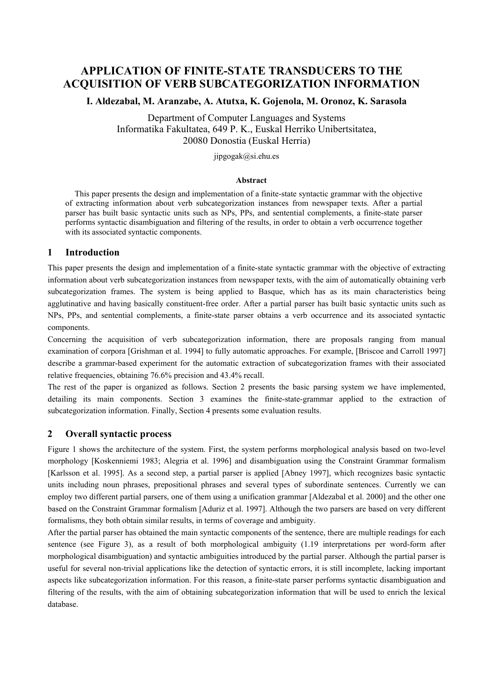# **APPLICATION OF FINITE-STATE TRANSDUCERS TO THE ACQUISITION OF VERB SUBCATEGORIZATION INFORMATION**

**I. Aldezabal, M. Aranzabe, A. Atutxa, K. Gojenola, M. Oronoz, K. Sarasola** 

Department of Computer Languages and Systems Informatika Fakultatea, 649 P. K., Euskal Herriko Unibertsitatea, 20080 Donostia (Euskal Herria)

jipgogak@si.ehu.es

#### **Abstract**

This paper presents the design and implementation of a finite-state syntactic grammar with the objective of extracting information about verb subcategorization instances from newspaper texts. After a partial parser has built basic syntactic units such as NPs, PPs, and sentential complements, a finite-state parser performs syntactic disambiguation and filtering of the results, in order to obtain a verb occurrence together with its associated syntactic components.

### **1 Introduction**

This paper presents the design and implementation of a finite-state syntactic grammar with the objective of extracting information about verb subcategorization instances from newspaper texts, with the aim of automatically obtaining verb subcategorization frames. The system is being applied to Basque, which has as its main characteristics being agglutinative and having basically constituent-free order. After a partial parser has built basic syntactic units such as NPs, PPs, and sentential complements, a finite-state parser obtains a verb occurrence and its associated syntactic components.

Concerning the acquisition of verb subcategorization information, there are proposals ranging from manual examination of corpora [Grishman et al. 1994] to fully automatic approaches. For example, [Briscoe and Carroll 1997] describe a grammar-based experiment for the automatic extraction of subcategorization frames with their associated relative frequencies, obtaining 76.6% precision and 43.4% recall.

The rest of the paper is organized as follows. Section 2 presents the basic parsing system we have implemented, detailing its main components. Section 3 examines the finite-state-grammar applied to the extraction of subcategorization information. Finally, Section 4 presents some evaluation results.

### **2 Overall syntactic process**

Figure 1 shows the architecture of the system. First, the system performs morphological analysis based on two-level morphology [Koskenniemi 1983; Alegria et al. 1996] and disambiguation using the Constraint Grammar formalism [Karlsson et al. 1995]. As a second step, a partial parser is applied [Abney 1997], which recognizes basic syntactic units including noun phrases, prepositional phrases and several types of subordinate sentences. Currently we can employ two different partial parsers, one of them using a unification grammar [Aldezabal et al. 2000] and the other one based on the Constraint Grammar formalism [Aduriz et al. 1997]. Although the two parsers are based on very different formalisms, they both obtain similar results, in terms of coverage and ambiguity.

After the partial parser has obtained the main syntactic components of the sentence, there are multiple readings for each sentence (see Figure 3), as a result of both morphological ambiguity (1.19 interpretations per word-form after morphological disambiguation) and syntactic ambiguities introduced by the partial parser. Although the partial parser is useful for several non-trivial applications like the detection of syntactic errors, it is still incomplete, lacking important aspects like subcategorization information. For this reason, a finite-state parser performs syntactic disambiguation and filtering of the results, with the aim of obtaining subcategorization information that will be used to enrich the lexical database.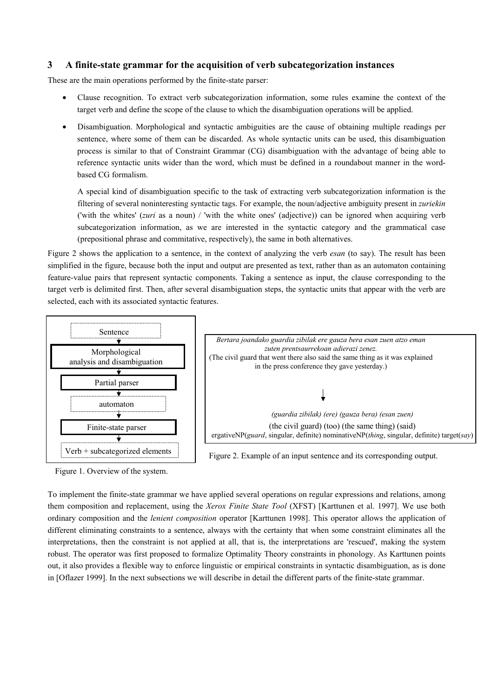### **3 A finite-state grammar for the acquisition of verb subcategorization instances**

These are the main operations performed by the finite-state parser:

- Clause recognition. To extract verb subcategorization information, some rules examine the context of the target verb and define the scope of the clause to which the disambiguation operations will be applied.
- Disambiguation. Morphological and syntactic ambiguities are the cause of obtaining multiple readings per sentence, where some of them can be discarded. As whole syntactic units can be used, this disambiguation process is similar to that of Constraint Grammar (CG) disambiguation with the advantage of being able to reference syntactic units wider than the word, which must be defined in a roundabout manner in the wordbased CG formalism.

A special kind of disambiguation specific to the task of extracting verb subcategorization information is the filtering of several noninteresting syntactic tags. For example, the noun/adjective ambiguity present in *zuriekin* ('with the whites' (*zuri* as a noun) / 'with the white ones' (adjective)) can be ignored when acquiring verb subcategorization information, as we are interested in the syntactic category and the grammatical case (prepositional phrase and commitative, respectively), the same in both alternatives.

Figure 2 shows the application to a sentence, in the context of analyzing the verb *esan* (to say). The result has been simplified in the figure, because both the input and output are presented as text, rather than as an automaton containing feature-value pairs that represent syntactic components. Taking a sentence as input, the clause corresponding to the target verb is delimited first. Then, after several disambiguation steps, the syntactic units that appear with the verb are selected, each with its associated syntactic features.



Figure 1. Overview of the system.

To implement the finite-state grammar we have applied several operations on regular expressions and relations, among them composition and replacement, using the *Xerox Finite State Tool* (XFST) [Karttunen et al. 1997]. We use both ordinary composition and the *lenient composition* operator [Karttunen 1998]. This operator allows the application of different eliminating constraints to a sentence, always with the certainty that when some constraint eliminates all the interpretations, then the constraint is not applied at all, that is, the interpretations are 'rescued', making the system robust. The operator was first proposed to formalize Optimality Theory constraints in phonology. As Karttunen points out, it also provides a flexible way to enforce linguistic or empirical constraints in syntactic disambiguation, as is done in [Oflazer 1999]. In the next subsections we will describe in detail the different parts of the finite-state grammar.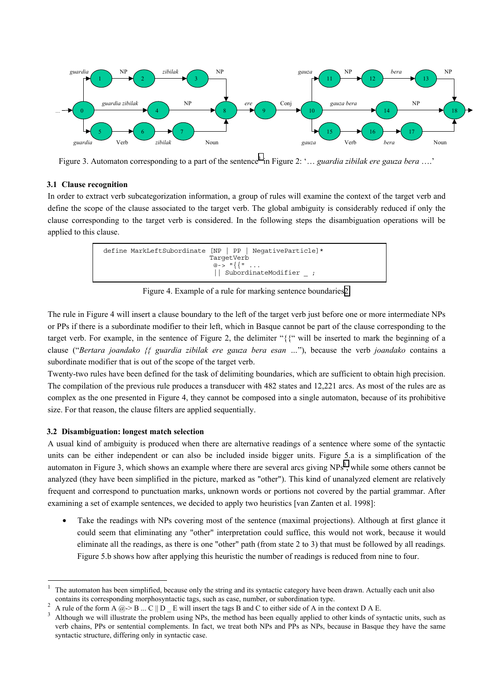

Figure 3. Automaton corresponding to a part of the sentence<sup>1</sup> in Figure 2: '... *guardia zibilak ere gauza bera* ....'

#### **3.1 Clause recognition**

In order to extract verb subcategorization information, a group of rules will examine the context of the target verb and define the scope of the clause associated to the target verb. The global ambiguity is considerably reduced if only the clause corresponding to the target verb is considered. In the following steps the disambiguation operations will be applied to this clause.



Figure 4. Example of a rule for marking sentence boundaries2.

The rule in Figure 4 will insert a clause boundary to the left of the target verb just before one or more intermediate NPs or PPs if there is a subordinate modifier to their left, which in Basque cannot be part of the clause corresponding to the target verb. For example, in the sentence of Figure 2, the delimiter "{{" will be inserted to mark the beginning of a clause ("*Bertara joandako {{ guardia zibilak ere gauza bera esan …*"), because the verb *joandako* contains a subordinate modifier that is out of the scope of the target verb.

Twenty-two rules have been defined for the task of delimiting boundaries, which are sufficient to obtain high precision. The compilation of the previous rule produces a transducer with 482 states and 12,221 arcs. As most of the rules are as complex as the one presented in Figure 4, they cannot be composed into a single automaton, because of its prohibitive size. For that reason, the clause filters are applied sequentially.

#### **3.2 Disambiguation: longest match selection**

 $\overline{a}$ 

A usual kind of ambiguity is produced when there are alternative readings of a sentence where some of the syntactic units can be either independent or can also be included inside bigger units. Figure 5.a is a simplification of the automaton in Figure 3, which shows an example where there are several arcs giving  $NPs<sup>3</sup>$ , while some others cannot be analyzed (they have been simplified in the picture, marked as "other"). This kind of unanalyzed element are relatively frequent and correspond to punctuation marks, unknown words or portions not covered by the partial grammar. After examining a set of example sentences, we decided to apply two heuristics [van Zanten et al. 1998]:

• Take the readings with NPs covering most of the sentence (maximal projections). Although at first glance it could seem that eliminating any "other" interpretation could suffice, this would not work, because it would eliminate all the readings, as there is one "other" path (from state 2 to 3) that must be followed by all readings. Figure 5.b shows how after applying this heuristic the number of readings is reduced from nine to four.

<sup>1</sup> The automaton has been simplified, because only the string and its syntactic category have been drawn. Actually each unit also contains its corresponding morphosyntactic tags, such as case, number, or subordination type.<br><sup>2</sup> A rule of the form A @-> B ... C || D \_ E will insert the tags B and C to either side of A in the context D A E.

Although we will illustrate the problem using NPs, the method has been equally applied to other kinds of syntactic units, such as verb chains, PPs or sentential complements. In fact, we treat both NPs and PPs as NPs, because in Basque they have the same syntactic structure, differing only in syntactic case.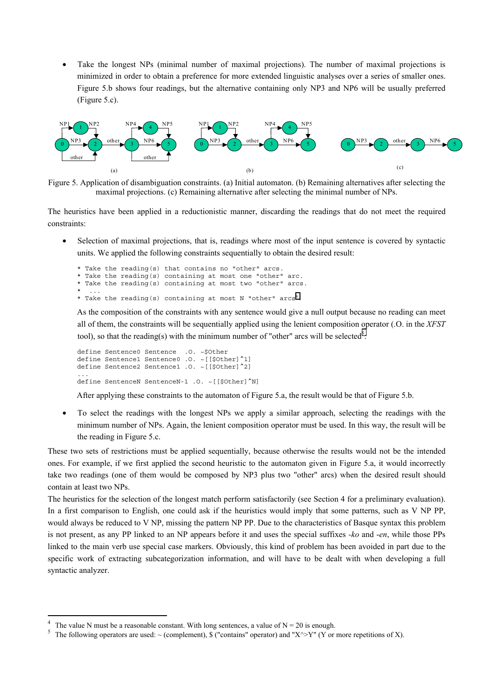Take the longest NPs (minimal number of maximal projections). The number of maximal projections is minimized in order to obtain a preference for more extended linguistic analyses over a series of smaller ones. Figure 5.b shows four readings, but the alternative containing only NP3 and NP6 will be usually preferred (Figure 5.c).



Figure 5. Application of disambiguation constraints. (a) Initial automaton. (b) Remaining alternatives after selecting the maximal projections. (c) Remaining alternative after selecting the minimal number of NPs.

The heuristics have been applied in a reductionistic manner, discarding the readings that do not meet the required constraints:

• Selection of maximal projections, that is, readings where most of the input sentence is covered by syntactic units. We applied the following constraints sequentially to obtain the desired result:

```
* Take the reading(s) that contains no "other" arcs. 
* Take the reading(s) containing at most one "other" arc. 
* Take the reading(s) containing at most two "other" arcs. 
* ... 
* Take the reading(s) containing at most N "other" arcs<sup>4</sup>.
```
As the composition of the constraints with any sentence would give a null output because no reading can meet all of them, the constraints will be sequentially applied using the lenient composition operator (.O. in the *XFST* tool), so that the reading(s) with the minimum number of "other" arcs will be selected<sup>5</sup>:

```
define Sentence0 Sentence .O. ~$Other 
define Sentence1 Sentence0 .0. ~[[$Other]^1]
define Sentence2 Sentence1 .O. ~[[$Other]^2] 
... 
define SentenceN SentenceN-1 .0. ~[[$Other]^N]
```
After applying these constraints to the automaton of Figure 5.a, the result would be that of Figure 5.b.

• To select the readings with the longest NPs we apply a similar approach, selecting the readings with the minimum number of NPs. Again, the lenient composition operator must be used. In this way, the result will be the reading in Figure 5.c.

These two sets of restrictions must be applied sequentially, because otherwise the results would not be the intended ones. For example, if we first applied the second heuristic to the automaton given in Figure 5.a, it would incorrectly take two readings (one of them would be composed by NP3 plus two "other" arcs) when the desired result should contain at least two NPs.

The heuristics for the selection of the longest match perform satisfactorily (see Section 4 for a preliminary evaluation). In a first comparison to English, one could ask if the heuristics would imply that some patterns, such as V NP PP, would always be reduced to V NP, missing the pattern NP PP. Due to the characteristics of Basque syntax this problem is not present, as any PP linked to an NP appears before it and uses the special suffixes *-ko* and -*en*, while those PPs linked to the main verb use special case markers. Obviously, this kind of problem has been avoided in part due to the specific work of extracting subcategorization information, and will have to be dealt with when developing a full syntactic analyzer.

 $\overline{a}$ 

<sup>4</sup> The value N must be a reasonable constant. With long sentences, a value of  $N = 20$  is enough.

<sup>&</sup>lt;sup>5</sup> The following operators are used:  $\sim$  (complement), \$ ("contains" operator) and "X^>Y" (Y or more repetitions of X).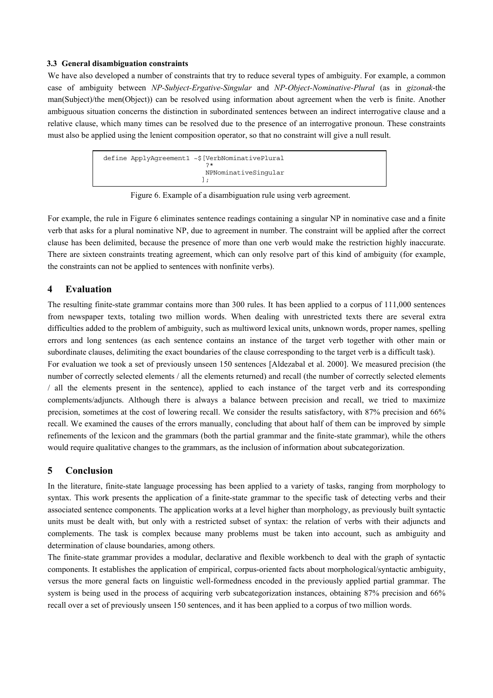#### **3.3 General disambiguation constraints**

We have also developed a number of constraints that try to reduce several types of ambiguity. For example, a common case of ambiguity between *NP-Subject-Ergative-Singular* and *NP-Object-Nominative-Plural* (as in *gizonak*-the man(Subject)/the men(Object)) can be resolved using information about agreement when the verb is finite. Another ambiguous situation concerns the distinction in subordinated sentences between an indirect interrogative clause and a relative clause, which many times can be resolved due to the presence of an interrogative pronoun. These constraints must also be applied using the lenient composition operator, so that no constraint will give a null result.



Figure 6. Example of a disambiguation rule using verb agreement.

For example, the rule in Figure 6 eliminates sentence readings containing a singular NP in nominative case and a finite verb that asks for a plural nominative NP, due to agreement in number. The constraint will be applied after the correct clause has been delimited, because the presence of more than one verb would make the restriction highly inaccurate. There are sixteen constraints treating agreement, which can only resolve part of this kind of ambiguity (for example, the constraints can not be applied to sentences with nonfinite verbs).

# **4 Evaluation**

The resulting finite-state grammar contains more than 300 rules. It has been applied to a corpus of 111,000 sentences from newspaper texts, totaling two million words. When dealing with unrestricted texts there are several extra difficulties added to the problem of ambiguity, such as multiword lexical units, unknown words, proper names, spelling errors and long sentences (as each sentence contains an instance of the target verb together with other main or subordinate clauses, delimiting the exact boundaries of the clause corresponding to the target verb is a difficult task).

For evaluation we took a set of previously unseen 150 sentences [Aldezabal et al. 2000]. We measured precision (the number of correctly selected elements / all the elements returned) and recall (the number of correctly selected elements / all the elements present in the sentence), applied to each instance of the target verb and its corresponding complements/adjuncts. Although there is always a balance between precision and recall, we tried to maximize precision, sometimes at the cost of lowering recall. We consider the results satisfactory, with 87% precision and 66% recall. We examined the causes of the errors manually, concluding that about half of them can be improved by simple refinements of the lexicon and the grammars (both the partial grammar and the finite-state grammar), while the others would require qualitative changes to the grammars, as the inclusion of information about subcategorization.

### **5 Conclusion**

In the literature, finite-state language processing has been applied to a variety of tasks, ranging from morphology to syntax. This work presents the application of a finite-state grammar to the specific task of detecting verbs and their associated sentence components. The application works at a level higher than morphology, as previously built syntactic units must be dealt with, but only with a restricted subset of syntax: the relation of verbs with their adjuncts and complements. The task is complex because many problems must be taken into account, such as ambiguity and determination of clause boundaries, among others.

The finite-state grammar provides a modular, declarative and flexible workbench to deal with the graph of syntactic components. It establishes the application of empirical, corpus-oriented facts about morphological/syntactic ambiguity, versus the more general facts on linguistic well-formedness encoded in the previously applied partial grammar. The system is being used in the process of acquiring verb subcategorization instances, obtaining 87% precision and 66% recall over a set of previously unseen 150 sentences, and it has been applied to a corpus of two million words.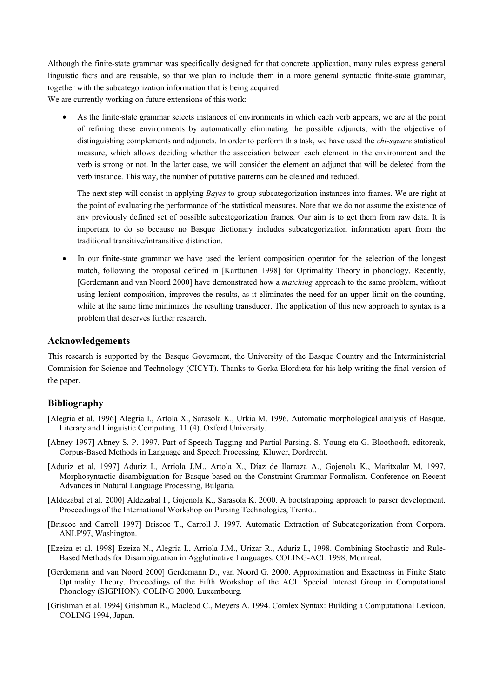Although the finite-state grammar was specifically designed for that concrete application, many rules express general linguistic facts and are reusable, so that we plan to include them in a more general syntactic finite-state grammar, together with the subcategorization information that is being acquired. We are currently working on future extensions of this work:

• As the finite-state grammar selects instances of environments in which each verb appears, we are at the point of refining these environments by automatically eliminating the possible adjuncts, with the objective of distinguishing complements and adjuncts. In order to perform this task, we have used the *chi-square* statistical measure, which allows deciding whether the association between each element in the environment and the verb is strong or not. In the latter case, we will consider the element an adjunct that will be deleted from the verb instance. This way, the number of putative patterns can be cleaned and reduced.

The next step will consist in applying *Bayes* to group subcategorization instances into frames. We are right at the point of evaluating the performance of the statistical measures. Note that we do not assume the existence of any previously defined set of possible subcategorization frames. Our aim is to get them from raw data. It is important to do so because no Basque dictionary includes subcategorization information apart from the traditional transitive/intransitive distinction.

• In our finite-state grammar we have used the lenient composition operator for the selection of the longest match, following the proposal defined in [Karttunen 1998] for Optimality Theory in phonology. Recently, [Gerdemann and van Noord 2000] have demonstrated how a *matching* approach to the same problem, without using lenient composition, improves the results, as it eliminates the need for an upper limit on the counting, while at the same time minimizes the resulting transducer. The application of this new approach to syntax is a problem that deserves further research.

# **Acknowledgements**

This research is supported by the Basque Goverment, the University of the Basque Country and the Interministerial Commision for Science and Technology (CICYT). Thanks to Gorka Elordieta for his help writing the final version of the paper.

# **Bibliography**

- [Alegria et al. 1996] Alegria I., Artola X., Sarasola K., Urkia M. 1996. Automatic morphological analysis of Basque. Literary and Linguistic Computing. 11 (4). Oxford University.
- [Abney 1997] Abney S. P. 1997. Part-of-Speech Tagging and Partial Parsing. S. Young eta G. Bloothooft, editoreak, Corpus-Based Methods in Language and Speech Processing, Kluwer, Dordrecht.
- [Aduriz et al. 1997] Aduriz I., Arriola J.M., Artola X., Díaz de Ilarraza A., Gojenola K., Maritxalar M. 1997. Morphosyntactic disambiguation for Basque based on the Constraint Grammar Formalism. Conference on Recent Advances in Natural Language Processing, Bulgaria.
- [Aldezabal et al. 2000] Aldezabal I., Gojenola K., Sarasola K. 2000. A bootstrapping approach to parser development. Proceedings of the International Workshop on Parsing Technologies, Trento..
- [Briscoe and Carroll 1997] Briscoe T., Carroll J. 1997. Automatic Extraction of Subcategorization from Corpora. ANLP'97, Washington.
- [Ezeiza et al. 1998] Ezeiza N., Alegria I., Arriola J.M., Urizar R., Aduriz I., 1998. Combining Stochastic and Rule-Based Methods for Disambiguation in Agglutinative Languages. COLING-ACL 1998, Montreal.
- [Gerdemann and van Noord 2000] Gerdemann D., van Noord G. 2000. Approximation and Exactness in Finite State Optimality Theory. Proceedings of the Fifth Workshop of the ACL Special Interest Group in Computational Phonology (SIGPHON), COLING 2000, Luxembourg.
- [Grishman et al. 1994] Grishman R., Macleod C., Meyers A. 1994. Comlex Syntax: Building a Computational Lexicon. COLING 1994, Japan.